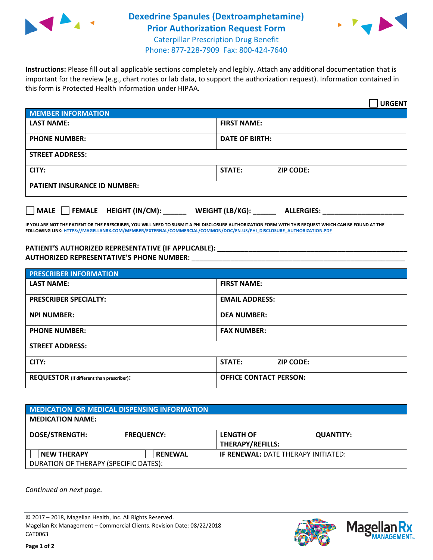

## **Dexedrine Spanules (Dextroamphetamine) Prior Authorization Request Form** Caterpillar Prescription Drug Benefit



Phone: 877-228-7909 Fax: 800-424-7640

**Instructions:** Please fill out all applicable sections completely and legibly. Attach any additional documentation that is important for the review (e.g., chart notes or lab data, to support the authorization request). Information contained in this form is Protected Health Information under HIPAA.

|                                       | <b>URGENT</b>                        |  |  |  |
|---------------------------------------|--------------------------------------|--|--|--|
| <b>MEMBER INFORMATION</b>             |                                      |  |  |  |
| <b>LAST NAME:</b>                     | <b>FIRST NAME:</b>                   |  |  |  |
| <b>PHONE NUMBER:</b>                  | <b>DATE OF BIRTH:</b>                |  |  |  |
| <b>STREET ADDRESS:</b>                |                                      |  |  |  |
| CITY:                                 | STATE:<br><b>ZIP CODE:</b>           |  |  |  |
| <b>PATIENT INSURANCE ID NUMBER:</b>   |                                      |  |  |  |
| FEMALE HEIGHT (IN/CM):<br><b>MALE</b> | WEIGHT (LB/KG):<br><b>ALLERGIES:</b> |  |  |  |

**IF YOU ARE NOT THE PATIENT OR THE PRESCRIBER, YOU WILL NEED TO SUBMIT A PHI DISCLOSURE AUTHORIZATION FORM WITH THIS REQUEST WHICH CAN BE FOUND AT THE FOLLOWING LINK[: HTTPS://MAGELLANRX.COM/MEMBER/EXTERNAL/COMMERCIAL/COMMON/DOC/EN-US/PHI\\_DISCLOSURE\\_AUTHORIZATION.PDF](https://magellanrx.com/member/external/commercial/common/doc/en-us/PHI_Disclosure_Authorization.pdf)**

**PATIENT'S AUTHORIZED REPRESENTATIVE (IF APPLICABLE): \_\_\_\_\_\_\_\_\_\_\_\_\_\_\_\_\_\_\_\_\_\_\_\_\_\_\_\_\_\_\_\_\_\_\_\_\_\_\_\_\_\_\_\_\_\_\_\_\_ AUTHORIZED REPRESENTATIVE'S PHONE NUMBER:** \_\_\_\_\_\_\_\_\_\_\_\_\_\_\_\_\_\_\_\_\_\_\_\_\_\_\_\_\_\_\_\_\_\_\_\_\_\_\_\_\_\_\_\_\_\_\_\_\_\_\_\_\_\_\_

| <b>PRESCRIBER INFORMATION</b>             |                               |  |  |  |
|-------------------------------------------|-------------------------------|--|--|--|
| <b>LAST NAME:</b>                         | <b>FIRST NAME:</b>            |  |  |  |
| <b>PRESCRIBER SPECIALTY:</b>              | <b>EMAIL ADDRESS:</b>         |  |  |  |
| <b>NPI NUMBER:</b>                        | <b>DEA NUMBER:</b>            |  |  |  |
| <b>PHONE NUMBER:</b>                      | <b>FAX NUMBER:</b>            |  |  |  |
| <b>STREET ADDRESS:</b>                    |                               |  |  |  |
| CITY:                                     | STATE:<br><b>ZIP CODE:</b>    |  |  |  |
| REQUESTOR (if different than prescriber): | <b>OFFICE CONTACT PERSON:</b> |  |  |  |

| MEDICATION OR MEDICAL DISPENSING INFORMATION |                   |                                            |                  |  |  |
|----------------------------------------------|-------------------|--------------------------------------------|------------------|--|--|
| <b>MEDICATION NAME:</b>                      |                   |                                            |                  |  |  |
| <b>DOSE/STRENGTH:</b>                        | <b>FREQUENCY:</b> | <b>LENGTH OF</b>                           | <b>QUANTITY:</b> |  |  |
|                                              |                   | <b>THERAPY/REFILLS:</b>                    |                  |  |  |
| <b>NEW THERAPY</b>                           | <b>RENEWAL</b>    | <b>IF RENEWAL: DATE THERAPY INITIATED:</b> |                  |  |  |
| DURATION OF THERAPY (SPECIFIC DATES):        |                   |                                            |                  |  |  |

*Continued on next page.*

© 2017 – 2018, Magellan Health, Inc. All Rights Reserved. Magellan Rx Management – Commercial Clients. Revision Date: 08/22/2018 CAT0063